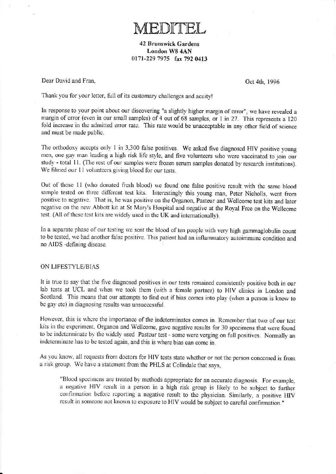**TEDITEL** 

42 Brunswick Gardens London W8 4AN 0171-229 7975 fax 792 0413

Dear David and Fran, Contract Contract Contract Contract Contract Contract Oct 4th, 1996

Thank you for your letter, full of its customary challenges and acuity!

In response to your point about our discovering "a slightly higher margin of error", we have revealed a margin of crror (even in our small samples) of 4 out of 68 samples, or 1 in 27. This represents a 120 fold increase in the admitted error rate. This rate would be unacceptable in any other field of science and must be made public.

The orthodoxy accepts only 1 in 3,300 false positives. We asked five diagnosed HIV positive young men, one gay man leading a high risk life style, and five volunteers who were vaccinated to join our study - total 11. (The rest of our samples were frozen serum samples donated by research institutions). We filmed our 11 volunteers giving blood for our tests.

Out of those 11 (who donated fresh blood) we found one false positive result with the same blood sample tested on three different test kits. Interestingly this young man, Peter Nicholls, went from positive to negative. That is, he was positive on the Organon, Pasteur and Wellcome test kits and later negative on the new Abbott kit at St Mary's Hospital and negative at the Royal Free on the Wellcome test. (All of these test kits are widely used in the UK and internationally).

In a separate phase of our testing we sent the blood of ten people with very high gammaglobulin count to be tested, we had another false positive. This patient had an inflammatory autoimmune condition and no AIDS -defining disease.

## ON LIFESryLE/BIAS

It is true to say that the five diagnosed positives in our tests remained consistently positive both in our lab tests at UCL and when we took them (with a female partner) to HIV clinics in London and Scotland. This means that our attempts to find out if bias comes into play (when a person is know to be gay etc) in diagnosing results was unsuccessful.

However, this is where the importance of the indeterminates comes in. Remember that two of our test kits in the experiment. Organon and Wellcome, gave negative results for 30 specimens that were found to be indeterminate by the widely used Pasteur test - some were verging on full positives. Normally an indctcrminate has to be tested again, and this is where bias can come in.

As you know, all requests from doctors for HIV tests state whether or not the person concerned is from <sup>a</sup>risk group. We havc a statenent from the PHLS at Colindalc that says,

"Blood specimens are treated by methods appropriate for an accurate diagnosis. For example, a negative HIV result in a person in a high risk group is likely to bc subject to turtier confirmation before reporting a negative result to the physician. Similarly, a positive HIV result in someone not known to exposure to HIV would be subject to careful confirmation."